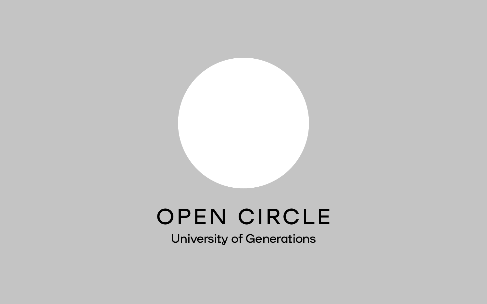# OPEN CIRCLE

University of Generations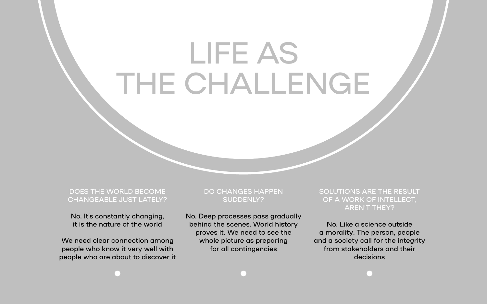DOES THE WORLD BECOME CHANGEABLE JUST LATELY?

No. It's constantly changing, it is the nature of the world

We need clear connection among people who know it very well with people who are about to discover it

#### DO CHANGES HAPPEN SUDDENLY?

No. Deep processes pass gradually behind the scenes. World history proves it. We need to see the whole picture as preparing for all contingencies



No. Like a science outside a morality. The person, people and a society call for the integrity from stakeholders and their decisions

# LIFE AS THE CHALLENGE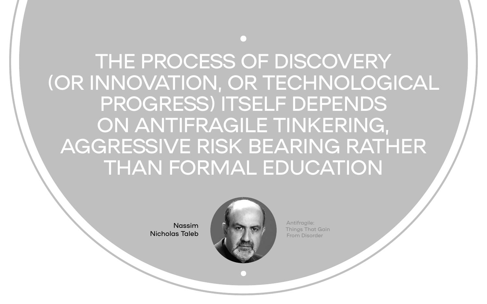Antifragile: Things That Gain From Disorder

Nassim Nicholas Taleb



## • THE PROCESS OF DISCOVERY (OR INNOVATION, OR TECHNOLOGICAL PROGRESS) ITSELF DEPENDS ON ANTIFRAGILE TINKERING, AGGRESSIVE RISK BEARING RATHER THAN FORMAL EDUCATION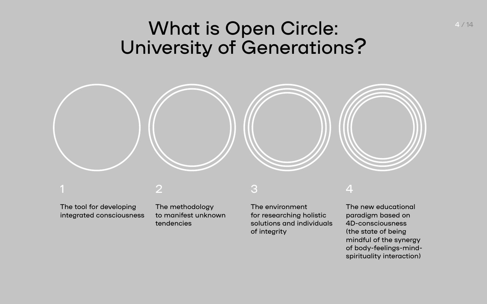### What is Open Circle: University of Generations?



1

The tool for developing integrated consciousness 2

The methodology to manifest unknown tendencies

3

The environment for researching holistic solutions and individuals of integrity

#### 4

The new educational paradigm based on 4D-consciousness (the state of being mindful of the synergy of body-feelings-mindspirituality interaction) 4 / 14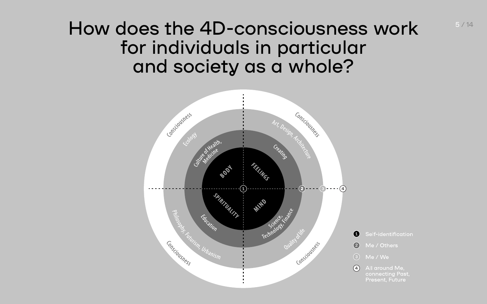#### How does the 4D-consciousness work for individuals in particular and society as a whole?



Self-identification  $\mathbf 1$  $(2)$ Me / Others  $(3)$ Me / We

5 / 14

 $(4)$ All around Me. connecting Past, Present, Future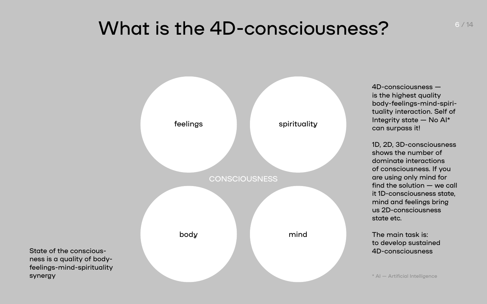## What is the 4D-consciousness?

State of the consciousness is a quality of bodyfeelings-mind-spirituality 4D-consciousness is the highest quality body-feelings-mind-spirituality interaction. Self of Integrity state — No AI\* can surpass it!



1D, 2D, 3D-consciousness shows the number of dominate interactions of consciousness. If you are using only mind for find the solution — we call it 1D-consciousness state, mind and feelings bring us 2D-consciousness state etc.

The main task is: to develop sustained 4D-consciousness

6 / 14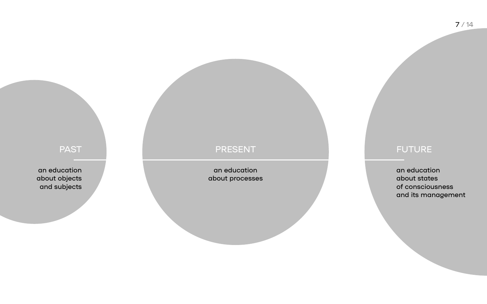an education about processes



an education about objects and subjects

#### PAST RESENT PRESENT PRESENT

an education about states of consciousness and its management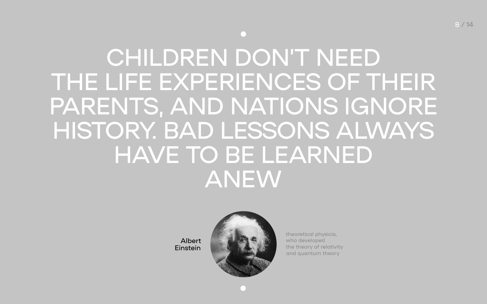8 / 14

# • CHILDREN DON'T NEED THE LIFE EXPERIENCES OF THEIR PARENTS, AND NATIONS IGNORE HISTORY. BAD LESSONS ALWAYS HAVE TO BE LEARNED ANEW

Albert Einstein



theoretical physicis, who developed the theory of relativity and quantum theory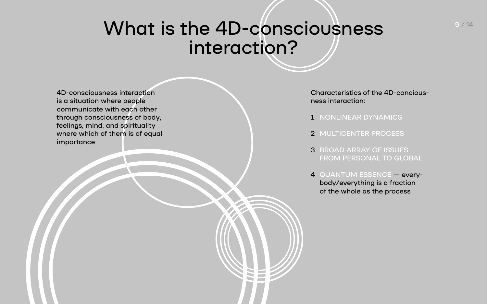#### What is the 4D-consciousness interaction?

9 / 14

4D-consciousness interaction is a situation where people communicate with each other through consciousness of body, feelings, mind, and spirituality where which of them is of equal importance

Characteristics of the 4D-conciousness interaction:

- 
- 
- 
- 

1 NONLINEAR DYNAMICS

2 MULTICENTER PROCESS

3 BROAD ARRAY OF ISSUES FROM PERSONAL TO GLOBAL

4 QUANTUM ESSENCE — everybody/everything is a fraction of the whole as the process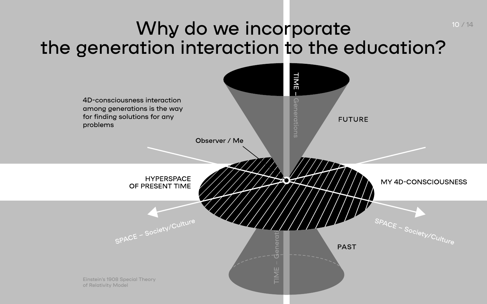# Why do we incorporate the generation interaction to the education?



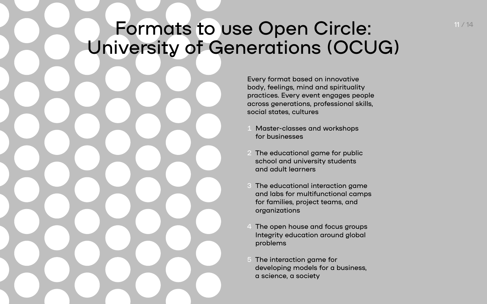Every format based on innovative body, feelings, mind and spirituality practices. Every event engages people across generations, professional skills, social states, cultures

- Master-classes and workshops for businesses
- 2 The educational game for public school and university students and adult learners
- 3 The educational interaction game and labs for multifunctional camps for families, project teams, and organizations
- 4 The open house and focus groups Integrity education around global problems
- 5 The interaction game for developing models for a business, a science, a society

11 / 14

## Formats to use Open Circle: University of Generations (OCUG)

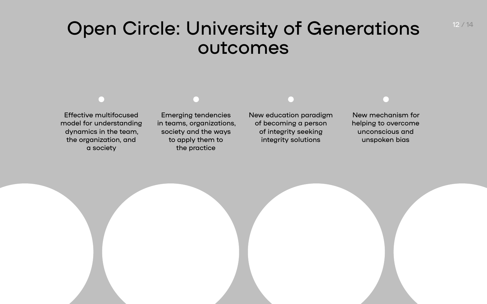12 / 14

#### Open Circle: University of Generations outcomes

Effective multifocused model for understanding dynamics in the team, the organization, and a society

Emerging tendencies in teams, organizations, society and the ways to apply them to the practice

New education paradigm of becoming a person of integrity seeking integrity solutions



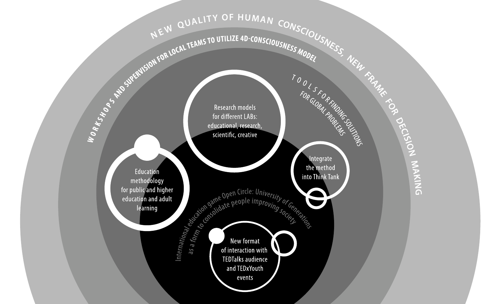# SET TRIVIAL TEAMS TO UTILIZE 4D-CONSCIOUSNESS MODEL

 $\mathbf{C}$ 

Exploration dame open Circle: University of Generation and TEDxYouth events

Education methodology for public and higher education and adult learning